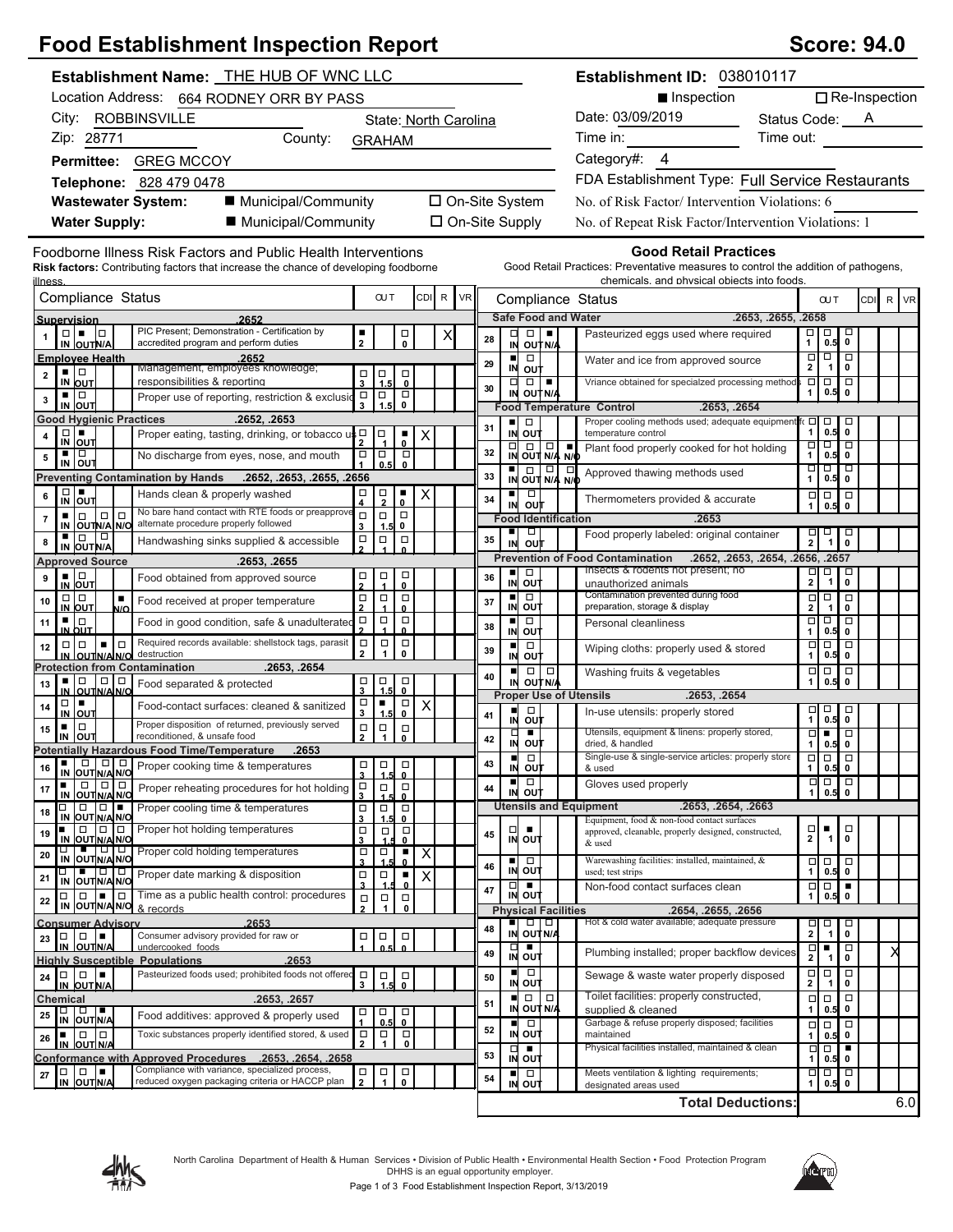## **Food Establishment Inspection Report (Score: 194.000 Stablishment Inspection Report**

| <b>Score: 94.0</b> |  |  |
|--------------------|--|--|
|--------------------|--|--|

| Establishment Name: THE HUB OF WNC LLC                                                                                                                                  |                                                                                                               |                                                                                                                                                                          | Establishment ID: 038010117                                                                                                                                      |                                                                                           |
|-------------------------------------------------------------------------------------------------------------------------------------------------------------------------|---------------------------------------------------------------------------------------------------------------|--------------------------------------------------------------------------------------------------------------------------------------------------------------------------|------------------------------------------------------------------------------------------------------------------------------------------------------------------|-------------------------------------------------------------------------------------------|
| Location Address: 664 RODNEY ORR BY PASS                                                                                                                                |                                                                                                               |                                                                                                                                                                          | ■ Inspection                                                                                                                                                     | $\Box$ Re-Inspection                                                                      |
| City: ROBBINSVILLE                                                                                                                                                      | State: North Carolina                                                                                         |                                                                                                                                                                          | Date: 03/09/2019                                                                                                                                                 | Status Code: A                                                                            |
| Zip: 28771<br>County:                                                                                                                                                   | <b>GRAHAM</b>                                                                                                 |                                                                                                                                                                          | Time in:                                                                                                                                                         | Time out:                                                                                 |
| Permittee: GREG MCCOY                                                                                                                                                   |                                                                                                               |                                                                                                                                                                          | Category#: 4                                                                                                                                                     |                                                                                           |
| Telephone: 828 479 0478                                                                                                                                                 |                                                                                                               |                                                                                                                                                                          | FDA Establishment Type: Full Service Restaurants                                                                                                                 |                                                                                           |
| ■ Municipal/Community<br><b>Wastewater System:</b>                                                                                                                      |                                                                                                               | □ On-Site System                                                                                                                                                         | No. of Risk Factor/Intervention Violations: 6                                                                                                                    |                                                                                           |
| <b>Water Supply:</b><br>■ Municipal/Community                                                                                                                           |                                                                                                               | □ On-Site Supply                                                                                                                                                         | No. of Repeat Risk Factor/Intervention Violations: 1                                                                                                             |                                                                                           |
| Foodborne Illness Risk Factors and Public Health Interventions<br><b>Risk factors:</b> Contributing factors that increase the chance of developing foodborne<br>illness |                                                                                                               |                                                                                                                                                                          | <b>Good Retail Practices</b><br>Good Retail Practices: Preventative measures to control the addition of pathogens,<br>chemicals, and physical objects into foods |                                                                                           |
| Compliance Status                                                                                                                                                       | <b>OUT</b><br>CDI R<br>VR                                                                                     | Compliance Status                                                                                                                                                        |                                                                                                                                                                  | CDI R VR<br><b>OUT</b>                                                                    |
| 2652<br>Supervision<br>PIC Present; Demonstration - Certification by                                                                                                    |                                                                                                               | <b>Safe Food and Water</b>                                                                                                                                               | .2653, .2655, .2658                                                                                                                                              |                                                                                           |
| $\Box \bullet \Box$<br>accredited program and perform duties<br>IN OUTN/A                                                                                               | ٠<br>$\overline{\phantom{0}}_0$<br>$\overline{2}$                                                             | 28<br>IN OUT N/A                                                                                                                                                         | Pasteurized eggs used where required                                                                                                                             | $\frac{\square}{1}$<br>$\frac{1}{0.5}$                                                    |
| <b>Employee Health</b><br>2652<br>Management, employees knowledge;<br>▪ □                                                                                               | $\Box$<br>$\Box$                                                                                              | п<br>$\Box$<br>29<br>IN OUT                                                                                                                                              | Water and ice from approved source                                                                                                                               | □<br>$\frac{\Box}{2}$<br>$\Box$<br>$\mathbf{1}$<br>$\mathbf{0}$                           |
| $\overline{\mathbf{2}}$<br>responsibilities & reporting<br>IN OUT<br>▪ □                                                                                                | IF.<br>$\mathbf{3}$<br>$\mathbf{0}$                                                                           | $\Box$<br>$\Box$<br>30<br>IN OUT N/A                                                                                                                                     | Vriance obtained for specialzed processing method                                                                                                                | $\overline{\square}$<br>$\overline{a}$ $\overline{a}$<br>0.5<br>$\mathbf 0$<br>1          |
| Proper use of reporting, restriction & exclusion<br>3<br>IN OUT                                                                                                         | $\overline{a}$<br>$\overrightarrow{1.5}$<br>$\overline{S}$                                                    | <b>Food Temperature Control</b>                                                                                                                                          | .2653, .2654                                                                                                                                                     |                                                                                           |
| .2652, .2653<br><b>Good Hygienic Practices</b><br>Proper eating, tasting, drinking, or tobacco<br>4                                                                     | ףי≰<br>$\Box$                                                                                                 | $\blacksquare$<br>$\Box$<br>31<br>IN OUT                                                                                                                                 | Proper cooling methods used; adequate equipment<br>temperature control                                                                                           | $\overline{C}$<br>$\Box$<br>□<br>$\mathbf{1}$<br>$0.5$ 0                                  |
| $\frac{D}{N}$ out<br>■∣□<br>No discharge from eyes, nose, and mouth                                                                                                     | $\frac{1}{0}$<br>$\Box$<br>$\Box$<br>$\Box$                                                                   | $\begin{array}{ c c c }\n\hline\n\Box & \Box & \Box & \Box \\ \hline\n\vdots & \ddots & \ddots & \ddots \\ \hline\n\vdots & \ddots & \ddots & \ddots\n\end{array}$<br>32 | Plant food properly cooked for hot holding                                                                                                                       | ० १०<br>□<br>1<br>$0.5$ 0                                                                 |
| 5<br>IN OUT<br>.2652, .2653, .2655, .2656<br><b>Preventing Contamination by Hands</b>                                                                                   | 0.5<br>$\mathbf{0}$                                                                                           | IN OUT N/A N/O<br>33                                                                                                                                                     | Approved thawing methods used                                                                                                                                    | ॻ<br>┲<br>ㅁ<br>1<br>$0.5$ 0                                                               |
| $\Box$<br>٠<br>Hands clean & properly washed<br>6                                                                                                                       | $\frac{\Box}{2}$<br>$\overline{\overline{\phantom{0}}\phantom{0}}^{\phantom{\ast}}$<br>□                      | $\Box$<br>٠<br>34                                                                                                                                                        | Thermometers provided & accurate                                                                                                                                 | $\Box$<br>$\Box$<br>$\Box$                                                                |
| IN OUT<br>No bare hand contact with RTE foods or preapprove<br>0   0<br>$\Box$<br>$\blacksquare$<br>7                                                                   | 4<br>$\Box$<br>$\Box$<br>$\Box$                                                                               | o∪†<br>IN<br><b>Food Identification</b>                                                                                                                                  | .2653                                                                                                                                                            | 0.5<br>$\mathbf 0$<br>$\mathbf{1}$                                                        |
| IN OUTINA NO alternate procedure properly followed<br>$\blacksquare$ $\blacksquare$ $\blacksquare$<br>Handwashing sinks supplied & accessible<br>8                      | 0<br>3<br>1.5<br>$\Box$<br>$\Box$<br>$\Box$                                                                   | ٠<br>$\Box$<br>35                                                                                                                                                        | Food properly labeled: original container                                                                                                                        | $\Box$<br>$\frac{1}{2}$<br>$\sqrt{\frac{1}{6}}$<br>$\overline{1}$                         |
| IN OUT N/A<br>.2653, .2655<br><b>Approved Source</b>                                                                                                                    |                                                                                                               | out<br>IN                                                                                                                                                                | <b>Prevention of Food Contamination</b><br>.2652, .2653, .2654, .2656, .2657                                                                                     |                                                                                           |
| $\frac{1}{N}$ out<br>Food obtained from approved source<br>9                                                                                                            | $\Box$<br>무<br>□                                                                                              | $\Box$<br>п<br>36<br>IN OUT                                                                                                                                              | Insects & rodents not present; no<br>unauthorized animals                                                                                                        | Ξ<br>$\Box$<br>o<br>$\mathbf{2}$<br>$\overline{a}$<br>$\mathbf{1}$                        |
| $\Box   \Box$<br>$\blacksquare$<br>Food received at proper temperature<br>10                                                                                            | 0<br>$\Box$<br>$\Box$<br>$\Box$                                                                               | ٠<br>$\Box$<br>37                                                                                                                                                        | Contamination prevented during food                                                                                                                              | $\Box$<br>$\Box$<br>$\Box$                                                                |
| IN OUT<br>N/O<br>▪ ∣□<br>Food in good condition, safe & unadulterated<br>11                                                                                             | $\overline{\mathbf{2}}$<br>$\mathbf 0$<br>$\Box$<br>$\Box$<br>$\Box$                                          | IN OUT<br>$\blacksquare$<br>$\Box$<br>38                                                                                                                                 | preparation, storage & display<br>Personal cleanliness                                                                                                           | $\mathbf 2$<br>$\pmb{0}$<br>$\mathbf{1}$<br>□<br>┎<br>$\Box$                              |
| IN OUT<br>Required records available: shellstock tags, parasit<br>1 - 1 o<br>$\Box   \Box$<br>12                                                                        | n<br>$\Box$<br>$\Box$<br>$\Box$                                                                               | IN OUT<br>$\Box$<br>$\blacksquare$                                                                                                                                       |                                                                                                                                                                  | $\mathbf{1}$<br>$0.5$ 0<br>$\Box$<br>p<br>$\Box$                                          |
| destruction<br>IN OUTNA NO<br><b>Protection from Contamination</b><br>.2653. .2654                                                                                      | $\mathbf{2}$<br>$\mathbf{1}$<br>0                                                                             | 39<br>IN OUT                                                                                                                                                             | Wiping cloths: properly used & stored                                                                                                                            | $\mathbf{1}$<br>$0.5$ 0                                                                   |
| ▪│□<br>$\Box$<br>Food separated & protected<br>13                                                                                                                       | Ⅰ□<br>$\Box$<br>$\overline{3}$<br>1.5                                                                         | $\Box   \Box  $<br>$\blacksquare$<br>40<br>IN OUT N/A                                                                                                                    | Washing fruits & vegetables                                                                                                                                      | $\Box$<br>$\Box$<br>$\mathbf{1}$<br>0.5<br>0                                              |
| IN OUTNAING<br>$\Box$<br>$\blacksquare$<br>Food-contact surfaces: cleaned & sanitized<br>14                                                                             | $\mathbf{0}$<br>$\Box$<br>٠<br>$\Box$<br>$\boldsymbol{\mathsf{X}}$                                            | <b>Proper Use of Utensils</b><br>$\Box$<br>ш                                                                                                                             | .2653, .2654                                                                                                                                                     | $\Box$<br>$\Box$                                                                          |
| <u>IN OUT</u><br>Proper disposition of returned, previously served<br>$\Box$<br>٠<br>15                                                                                 | $\mathbf{3}$<br>$\mathbf{0}$<br><u>1.5</u><br>$\Box$<br>$\frac{1}{1}$<br>$\Box$                               | 41<br>out<br>IN                                                                                                                                                          | In-use utensils: properly stored<br>Utensils, equipment & linens: properly stored,                                                                               | $\begin{array}{c} \square \\ 1 \end{array}$<br>$\frac{1}{0.5}$                            |
| reconditioned, & unsafe food<br>IN OUT<br><b>Potentially Hazardous Food Time/Temperature</b><br>.2653                                                                   | $\overline{2}$<br>$\mathbf{0}$                                                                                | $\frac{1}{N}$ out<br>42                                                                                                                                                  | dried. & handled                                                                                                                                                 | $\overline{\phantom{0}}$<br>$\Box$<br>1<br>0.5<br>$\mathbf 0$                             |
| $\Box$ $\Box$ $\Box$<br>Proper cooking time & temperatures<br>16<br>IN<br>OUTIN/A N/O                                                                                   | $\Box$<br>$\Box$<br>□                                                                                         | $\overline{\blacksquare}$<br>43<br>IN OUT                                                                                                                                | Single-use & single-service articles: properly store<br>& used                                                                                                   | $\overline{\Box}$<br>$\begin{array}{ c c }\n\hline\n0.5 & 0\n\end{array}$<br>$\mathbf{1}$ |
| $\Box$<br>$\Box   \Box$<br>٠<br>Proper reheating procedures for hot holding<br>17                                                                                       | $\overline{\mathbf{3}}$<br>1.5<br>$\overline{\mathbf{0}}$<br>$\Box$<br>$\Box$<br>$\Box$<br>$\mathbf{\hat{z}}$ | $\Box$<br>$\blacksquare$<br>44<br>IN OUT                                                                                                                                 | Gloves used properly                                                                                                                                             | $\Box$<br>$\Box$<br>$0.5$ 0<br>$\mathbf{1}$                                               |
| IN OUT N/A N/O<br>$\Box$<br>Proper cooling time & temperatures<br>18                                                                                                    | $\mathbf 0$<br>$\Box$<br>$\Box$<br>$\Box$                                                                     | <b>Utensils and Equipment</b>                                                                                                                                            | .2653, .2654, .2663                                                                                                                                              |                                                                                           |
| OUT N/A N/O<br>IN<br>$\Box$ $\Box$ Proper hot holding temperatures<br>19                                                                                                | 3<br>1.5<br>0<br>$\Box$<br>$\Box$<br>$\frac{\Box}{1}$                                                         | □<br>45                                                                                                                                                                  | Equipment, food & non-food contact surfaces<br>approved, cleanable, properly designed, constructed,                                                              | $\frac{\Box}{2}$<br>□<br>٠<br>$\mathbf 0$                                                 |
| OUT N/A N/O<br>IN<br><b>Proper cold holding temperatures</b><br>ц.<br>20                                                                                                | $\mathbf{3}$<br>0<br>$\Box$<br>$\Box$<br>٠<br>X                                                               | IN OUT                                                                                                                                                                   | & used                                                                                                                                                           | $\overline{1}$                                                                            |
| IN OUTN/A N/O<br>□ ■ □ □<br>IN OUTN/A N/O<br>Proper date marking & disposition<br>21                                                                                    | $\overline{\mathbf{3}}$<br>n<br>$\overline{p}$<br>$\Box$<br>٠<br>$\boldsymbol{\mathsf{X}}$                    | ■□□<br>46<br>IN OUT                                                                                                                                                      | Warewashing facilities: installed, maintained, &<br>used; test strips                                                                                            | $\frac{1}{1}$<br>$\Box$<br>$\begin{array}{c} 0.5 \\ 0.5 \end{array}$                      |
| $\boxed{\blacksquare}$ Time as a public health control: procedures<br>$\Box$<br>П                                                                                       | $\overline{\mathbf{3}}$<br>0<br>$\Box$<br>$\Box$<br>$\Box$                                                    | $\Box$<br>47<br>IN OUT                                                                                                                                                   | Non-food contact surfaces clean                                                                                                                                  | $\Box$<br>$\Box$<br>l =<br>$\mathbf{1}$<br>0.5 0                                          |
| 22<br>IN OUT N/A N/O & records                                                                                                                                          | $\mathbf{2}$<br>$\mathbf{1}$<br>0                                                                             | <b>Physical Facilities</b>                                                                                                                                               | .2654, .2655, .2656                                                                                                                                              |                                                                                           |
| .2653<br><b>Consumer Advisory</b><br>Consumer advisory provided for raw or<br>$\Box$<br>$\Box$<br>23                                                                    | $\Box$<br>$\Box$<br>о                                                                                         | $\Box$ $\Box$<br>48<br>IN OUT N/A                                                                                                                                        | Hot & cold water available; adequate pressure                                                                                                                    | $\frac{\Box}{2}$<br>□<br>$\Box$<br>$\mathbf{1}$<br>0                                      |
| IN OUTN/A<br>undercooked foods<br>.2653<br><b>Highly Susceptible Populations</b>                                                                                        | 0.5<br>$\Omega$                                                                                               | $\Box$<br>49<br>IN OUT                                                                                                                                                   | Plumbing installed; proper backflow devices                                                                                                                      | $\frac{\Box}{2}$<br>$\Box$<br>п<br>М<br>$\pmb{0}$<br>$\overline{1}$                       |
| Pasteurized foods used; prohibited foods not offered<br>$\begin{array}{c c c c c c} \hline \textbf{a} & \textbf{a} & \textbf{a} \end{array}$<br>24                      | $\Box$<br>$\begin{array}{c} \square \\ 1.5 \end{array}$<br>$\overline{0}$<br>$\overline{\mathbf{3}}$          | ■ □<br>IN OUT<br>50                                                                                                                                                      | Sewage & waste water properly disposed                                                                                                                           | $\frac{\Box}{2}$<br>$\Box$<br>$\Box$<br>$\mathbf{1}$<br>$\mathbf 0$                       |
| IN OUT N/A<br>.2653, .2657<br>Chemical                                                                                                                                  |                                                                                                               | $\Box$<br>$\Box$<br>ш<br>51                                                                                                                                              | Toilet facilities: properly constructed,                                                                                                                         | $\Box$<br>$\Box$<br>$\Box$                                                                |
| □ □ ■<br>IN OUTN/A<br>25<br>Food additives: approved & properly used                                                                                                    | ο<br>$\Box$<br>$\Box$<br>0.5<br>$\mathbf 0$                                                                   | IN OUT N/A<br>$\Box$                                                                                                                                                     | supplied & cleaned<br>Garbage & refuse properly disposed; facilities                                                                                             | $\mathbf{1}$<br>$\mathbf 0$<br>0.5<br>$\Box$<br>$\Box$<br>$\Box$                          |
| Toxic substances properly identified stored, & used<br>$\blacksquare$ $\Box$ $\Box$<br>26<br>IN OUT N/A                                                                 | $\Box$<br>$\Box$<br>$\Box$<br>$\mathbf{1}$<br>$\pmb{0}$<br>$\overline{2}$                                     | 52<br>IN OUT                                                                                                                                                             | maintained<br>Physical facilities installed, maintained & clean                                                                                                  | 0<br>1<br>0.5                                                                             |
| Conformance with Approved Procedures .2653, .2654, .2658                                                                                                                |                                                                                                               | $\frac{1}{2}$ out<br>53                                                                                                                                                  |                                                                                                                                                                  | Ξ<br>т<br>Ω<br>1<br>0.5 0                                                                 |
| Compliance with variance, specialized process,<br>$\Box$<br>$\Box$<br>27<br>reduced oxygen packaging criteria or HACCP plan<br>IN OUTN/A                                | $\Box$<br>$\Box$<br>$_{\rm o}^{\Box}$<br>$\overline{2}$                                                       | $\Box$<br>■<br>54<br>IN OUT                                                                                                                                              | Meets ventilation & lighting requirements;<br>designated areas used                                                                                              | $\Box$<br>$\Box$<br>╹□<br>$0.5$ 0<br>1                                                    |
|                                                                                                                                                                         |                                                                                                               |                                                                                                                                                                          | <b>Total Deductions:</b>                                                                                                                                         | 6.0                                                                                       |



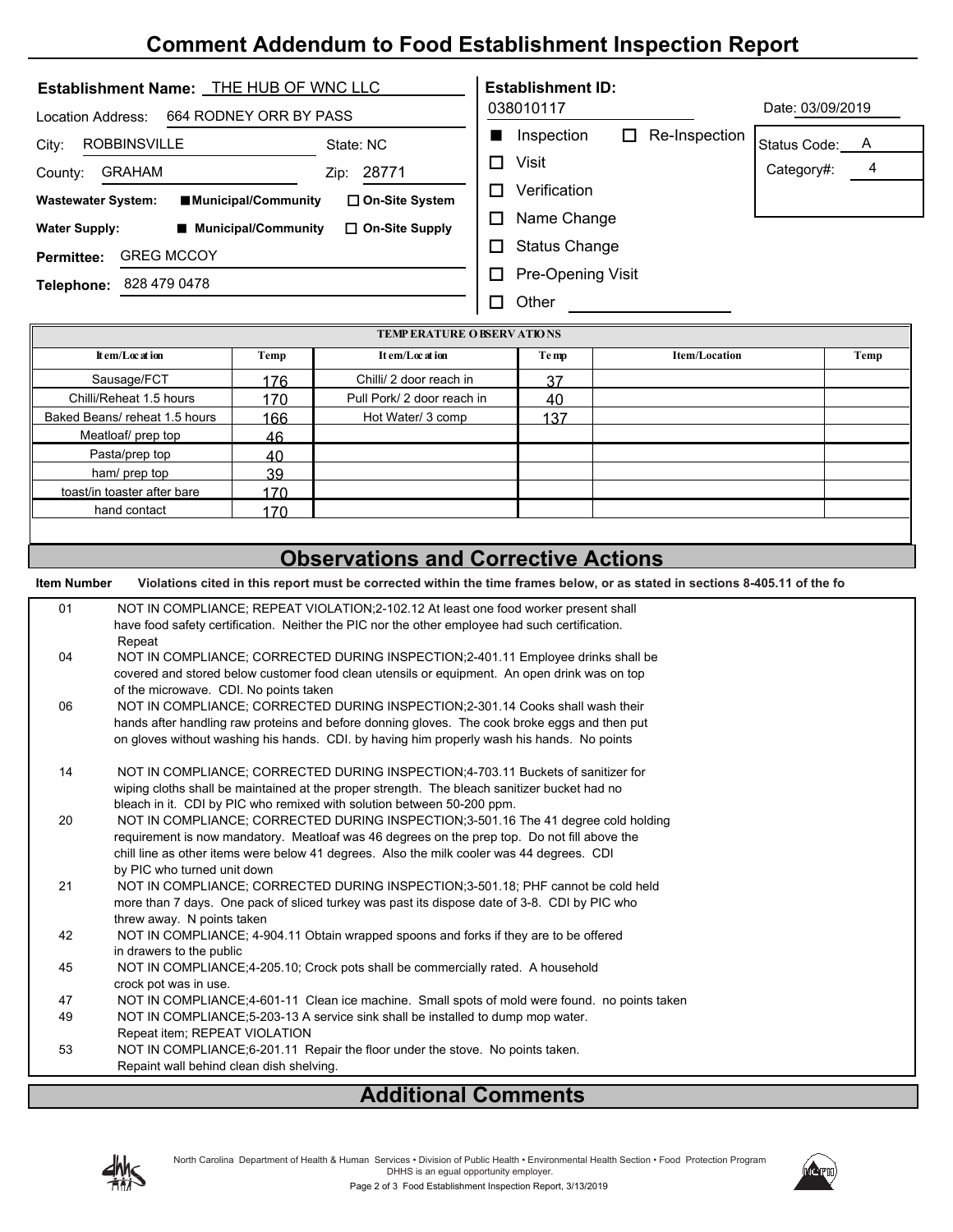## **Comment Addendum to Food Establishment Inspection Report**

| Establishment Name: THE HUB OF WNC LLC            | <b>Establishment ID:</b>                                |
|---------------------------------------------------|---------------------------------------------------------|
| 664 RODNEY ORR BY PASS<br>Location Address:       | Date: 03/09/2019<br>038010117                           |
| ROBBINSVILLE<br>State: NC<br>City:                | Re-Inspection<br>Inspection<br>П<br>٠<br>Status Code: A |
| <b>GRAHAM</b><br>28771<br>County:<br>Zip:         | Visit<br>П<br>4<br>Category#:                           |
| <b>Wastewater System:</b><br>■Municipal/Community | Verification<br>П<br>$\Box$ On-Site System              |
| <b>Water Supply:</b><br>■ Municipal/Community     | Name Change<br>п<br>$\Box$ On-Site Supply               |
| <b>GREG MCCOY</b><br><b>Permittee:</b>            | <b>Status Change</b>                                    |
| 828 479 0478<br>Telephone:                        | Pre-Opening Visit<br>П                                  |
|                                                   | Other                                                   |

| <b>TEMP ERATURE O BSERV ATIONS</b> |      |                            |       |                      |      |
|------------------------------------|------|----------------------------|-------|----------------------|------|
| It em/Loc at ion                   | Temp | It em/Loc at ion           | Te mp | <b>Item/Location</b> | Temp |
| Sausage/FCT                        | 176  | Chilli/ 2 door reach in    | 37    |                      |      |
| Chilli/Reheat 1.5 hours            | 170  | Pull Pork/ 2 door reach in | 40    |                      |      |
| Baked Beans/reheat 1.5 hours       | 166  | Hot Water/ 3 comp          | 137   |                      |      |
| Meatloaf/ prep top                 | 46   |                            |       |                      |      |
| Pasta/prep top                     | 40   |                            |       |                      |      |
| ham/ prep top                      | 39   |                            |       |                      |      |
| toast/in toaster after bare        | 170  |                            |       |                      |      |
| hand contact                       | 170  |                            |       |                      |      |
|                                    |      |                            |       |                      |      |

| <b>Observations and Corrective Actions</b> |                                                                                                                             |  |  |  |
|--------------------------------------------|-----------------------------------------------------------------------------------------------------------------------------|--|--|--|
| <b>Item Number</b>                         | Violations cited in this report must be corrected within the time frames below, or as stated in sections 8-405.11 of the fo |  |  |  |
| 01                                         | NOT IN COMPLIANCE; REPEAT VIOLATION;2-102.12 At least one food worker present shall                                         |  |  |  |
|                                            | have food safety certification. Neither the PIC nor the other employee had such certification.<br>Repeat                    |  |  |  |
| 04                                         | NOT IN COMPLIANCE; CORRECTED DURING INSPECTION;2-401.11 Employee drinks shall be                                            |  |  |  |
|                                            | covered and stored below customer food clean utensils or equipment. An open drink was on top                                |  |  |  |
|                                            | of the microwave. CDI. No points taken                                                                                      |  |  |  |
| 06                                         | NOT IN COMPLIANCE; CORRECTED DURING INSPECTION;2-301.14 Cooks shall wash their                                              |  |  |  |
|                                            | hands after handling raw proteins and before donning gloves. The cook broke eggs and then put                               |  |  |  |
|                                            | on gloves without washing his hands. CDI, by having him properly wash his hands. No points                                  |  |  |  |
| 14                                         | NOT IN COMPLIANCE; CORRECTED DURING INSPECTION;4-703.11 Buckets of sanitizer for                                            |  |  |  |
|                                            | wiping cloths shall be maintained at the proper strength. The bleach sanitizer bucket had no                                |  |  |  |
|                                            | bleach in it. CDI by PIC who remixed with solution between 50-200 ppm.                                                      |  |  |  |
| 20                                         | NOT IN COMPLIANCE; CORRECTED DURING INSPECTION;3-501.16 The 41 degree cold holding                                          |  |  |  |
|                                            | requirement is now mandatory. Meatloaf was 46 degrees on the prep top. Do not fill above the                                |  |  |  |
|                                            | chill line as other items were below 41 degrees. Also the milk cooler was 44 degrees. CDI                                   |  |  |  |
|                                            | by PIC who turned unit down                                                                                                 |  |  |  |
| 21                                         | NOT IN COMPLIANCE: CORRECTED DURING INSPECTION: 3-501.18: PHF cannot be cold held                                           |  |  |  |
|                                            | more than 7 days. One pack of sliced turkey was past its dispose date of 3-8. CDI by PIC who                                |  |  |  |
|                                            | threw away. N points taken                                                                                                  |  |  |  |
| 42                                         | NOT IN COMPLIANCE; 4-904.11 Obtain wrapped spoons and forks if they are to be offered                                       |  |  |  |
|                                            | in drawers to the public                                                                                                    |  |  |  |
| 45                                         | NOT IN COMPLIANCE;4-205.10; Crock pots shall be commercially rated. A household<br>crock pot was in use.                    |  |  |  |
| 47                                         | NOT IN COMPLIANCE;4-601-11 Clean ice machine. Small spots of mold were found. no points taken                               |  |  |  |
| 49                                         | NOT IN COMPLIANCE: 5-203-13 A service sink shall be installed to dump mop water.                                            |  |  |  |
|                                            | Repeat item; REPEAT VIOLATION                                                                                               |  |  |  |
| 53                                         | NOT IN COMPLIANCE;6-201.11 Repair the floor under the stove. No points taken.                                               |  |  |  |
|                                            | Repaint wall behind clean dish shelving.                                                                                    |  |  |  |

## **Additional Comments**